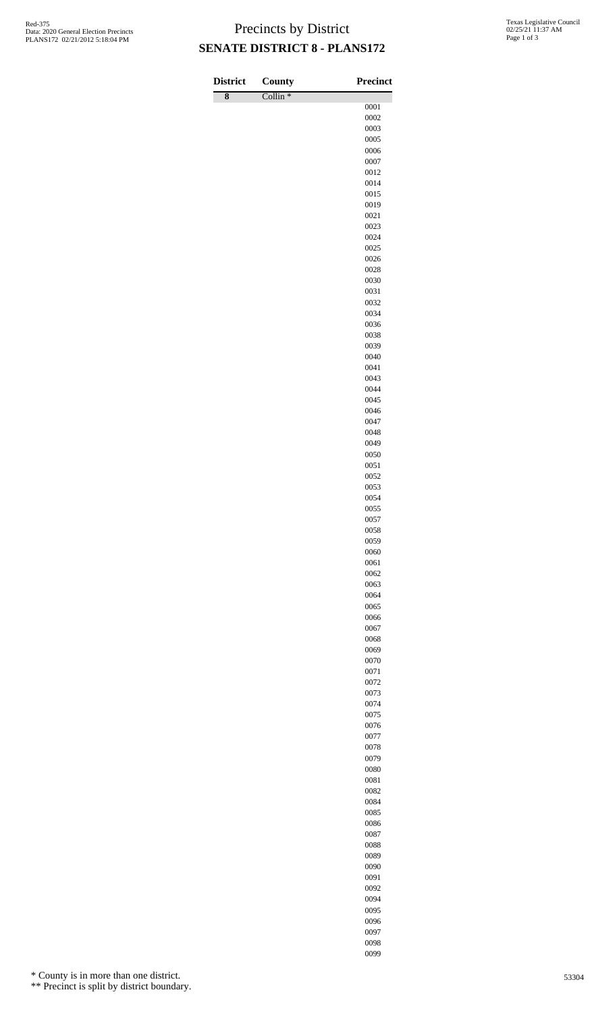## Precincts by District **SENATE DISTRICT 8 - PLANS172**

| <b>District</b>    | <b>County</b>       | Precinct     |
|--------------------|---------------------|--------------|
| $\overline{\bf 8}$ | Collin <sup>*</sup> |              |
|                    |                     | 0001<br>0002 |
|                    |                     | 0003         |
|                    |                     | 0005         |
|                    |                     | 0006         |
|                    |                     | 0007         |
|                    |                     | 0012<br>0014 |
|                    |                     | 0015         |
|                    |                     | 0019         |
|                    |                     | 0021         |
|                    |                     | 0023         |
|                    |                     | 0024<br>0025 |
|                    |                     | 0026         |
|                    |                     | 0028         |
|                    |                     | 0030         |
|                    |                     | 0031         |
|                    |                     | 0032         |
|                    |                     | 0034<br>0036 |
|                    |                     | 0038         |
|                    |                     | 0039         |
|                    |                     | 0040         |
|                    |                     | 0041         |
|                    |                     | 0043<br>0044 |
|                    |                     | 0045         |
|                    |                     | 0046         |
|                    |                     | 0047         |
|                    |                     | 0048         |
|                    |                     | 0049         |
|                    |                     | 0050<br>0051 |
|                    |                     | 0052         |
|                    |                     | 0053         |
|                    |                     | 0054         |
|                    |                     | 0055         |
|                    |                     | 0057<br>0058 |
|                    |                     | 0059         |
|                    |                     | 0060         |
|                    |                     | 0061         |
|                    |                     | 0062         |
|                    |                     | 0063<br>0064 |
|                    |                     | 0065         |
|                    |                     | 0066         |
|                    |                     | 0067         |
|                    |                     | 0068         |
|                    |                     | 0069<br>0070 |
|                    |                     | 0071         |
|                    |                     | 0072         |
|                    |                     | 0073         |
|                    |                     | 0074         |
|                    |                     | 0075<br>0076 |
|                    |                     | 0077         |
|                    |                     | 0078         |
|                    |                     | 0079         |
|                    |                     | 0080         |
|                    |                     | 0081<br>0082 |
|                    |                     | 0084         |
|                    |                     | 0085         |
|                    |                     | 0086         |
|                    |                     | 0087         |
|                    |                     | 0088         |
|                    |                     | 0089<br>0090 |
|                    |                     | 0091         |
|                    |                     | 0092         |

\* County is in more than one district.

\*\* Precinct is split by district boundary.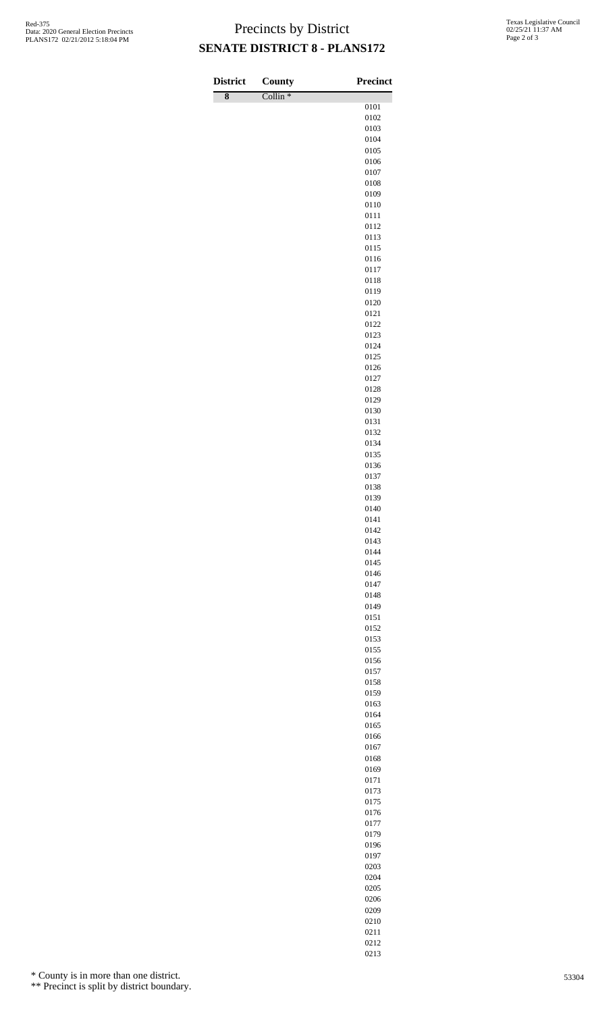## Precincts by District **SENATE DISTRICT 8 - PLANS172**

 $\overline{\phantom{a}}$ 

| <b>District</b>    | County              | <b>Precinct</b> |
|--------------------|---------------------|-----------------|
| $\overline{\bf 8}$ | Collin <sup>*</sup> | 0101            |
|                    |                     | 0102            |
|                    |                     | 0103            |
|                    |                     | 0104            |
|                    |                     | 0105            |
|                    |                     | 0106            |
|                    |                     | 0107<br>0108    |
|                    |                     | 0109            |
|                    |                     | 0110            |
|                    |                     | 0111            |
|                    |                     | 0112            |
|                    |                     | 0113            |
|                    |                     | 0115            |
|                    |                     | 0116<br>0117    |
|                    |                     | 0118            |
|                    |                     | 0119            |
|                    |                     | 0120            |
|                    |                     | 0121            |
|                    |                     | 0122            |
|                    |                     | 0123<br>0124    |
|                    |                     | 0125            |
|                    |                     | 0126            |
|                    |                     | 0127            |
|                    |                     | 0128            |
|                    |                     | 0129            |
|                    |                     | 0130            |
|                    |                     | 0131<br>0132    |
|                    |                     | 0134            |
|                    |                     | 0135            |
|                    |                     | 0136            |
|                    |                     | 0137            |
|                    |                     | 0138            |
|                    |                     | 0139            |
|                    |                     | 0140<br>0141    |
|                    |                     | 0142            |
|                    |                     | 0143            |
|                    |                     | 0144            |
|                    |                     | 0145            |
|                    |                     | 0146            |
|                    |                     | 0147<br>0148    |
|                    |                     | 0149            |
|                    |                     | 0151            |
|                    |                     | 0152            |
|                    |                     | 0153            |
|                    |                     | 0155            |
|                    |                     | 0156<br>0157    |
|                    |                     | 0158            |
|                    |                     | 0159            |
|                    |                     | 0163            |
|                    |                     | 0164            |
|                    |                     | 0165            |
|                    |                     | 0166            |
|                    |                     | 0167<br>0168    |
|                    |                     | 0169            |
|                    |                     | 0171            |
|                    |                     | 0173            |
|                    |                     | 0175            |
|                    |                     | 0176            |
|                    |                     | 0177<br>0179    |
|                    |                     | 0196            |
|                    |                     | 0197            |
|                    |                     | 0203            |
|                    |                     | 0204            |
|                    |                     | 0205            |
|                    |                     | 0206            |
|                    |                     | 0209            |

\* County is in more than one district.

\*\* Precinct is split by district boundary.